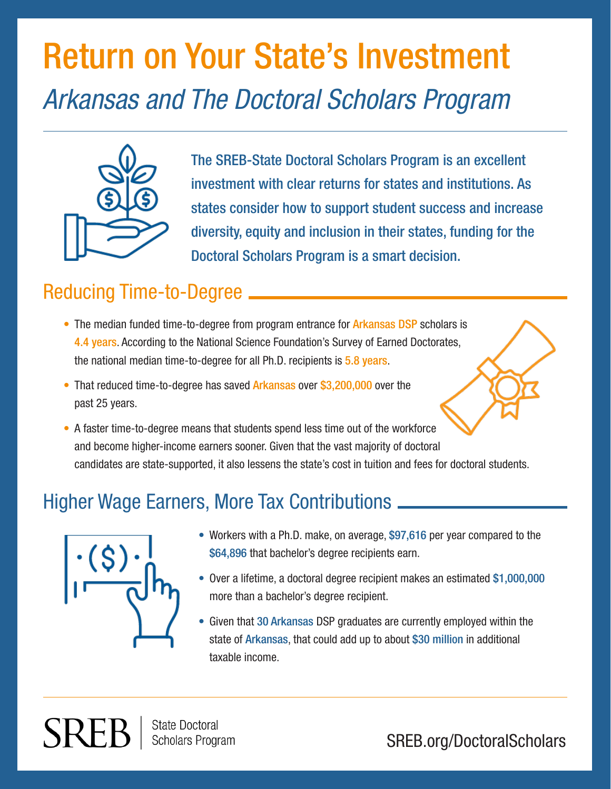# Return on Your State's Investment *Arkansas and The Doctoral Scholars Program*



The SREB-State Doctoral Scholars Program is an excellent investment with clear returns for states and institutions. As states consider how to support student success and increase diversity, equity and inclusion in their states, funding for the Doctoral Scholars Program is a smart decision.

### Reducing Time-to-Degree

- The median funded time-to-degree from program entrance for **Arkansas DSP** scholars is 4.4 years. According to the National Science Foundation's Survey of Earned Doctorates, the national median time-to-degree for all Ph.D. recipients is 5.8 years.
- That reduced time-to-degree has saved Arkansas over \$3,200,000 over the past 25 years.
- A faster time-to-degree means that students spend less time out of the workforce and become higher-income earners sooner. Given that the vast majority of doctoral candidates are state-supported, it also lessens the state's cost in tuition and fees for doctoral students.

## Higher Wage Earners, More Tax Contributions



- Workers with a Ph.D. make, on average, \$97,616 per year compared to the \$64,896 that bachelor's degree recipients earn.
- Over a lifetime, a doctoral degree recipient makes an estimated \$1,000,000 more than a bachelor's degree recipient.
- Given that 30 Arkansas DSP graduates are currently employed within the state of Arkansas, that could add up to about \$30 million in additional taxable income.

**State Doctoral Scholars Program** 

SREB.org/DoctoralScholars